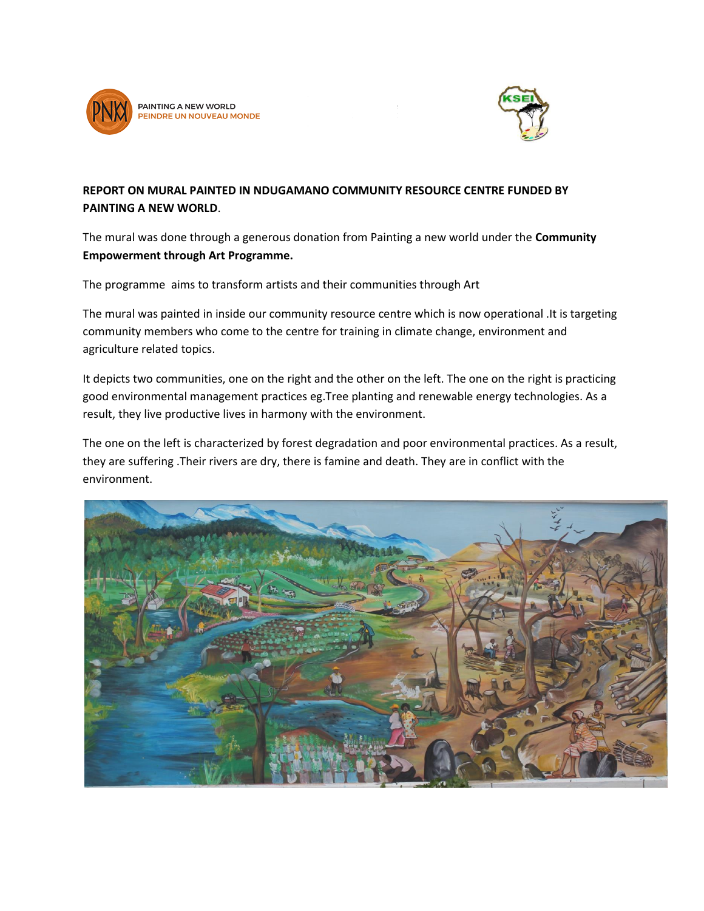



## **REPORT ON MURAL PAINTED IN NDUGAMANO COMMUNITY RESOURCE CENTRE FUNDED BY PAINTING A NEW WORLD**.

The mural was done through a generous donation from Painting a new world under the **Community Empowerment through Art Programme.**

The programme aims to transform artists and their communities through Art

The mural was painted in inside our community resource centre which is now operational .It is targeting community members who come to the centre for training in climate change, environment and agriculture related topics.

It depicts two communities, one on the right and the other on the left. The one on the right is practicing good environmental management practices eg.Tree planting and renewable energy technologies. As a result, they live productive lives in harmony with the environment.

The one on the left is characterized by forest degradation and poor environmental practices. As a result, they are suffering .Their rivers are dry, there is famine and death. They are in conflict with the environment.